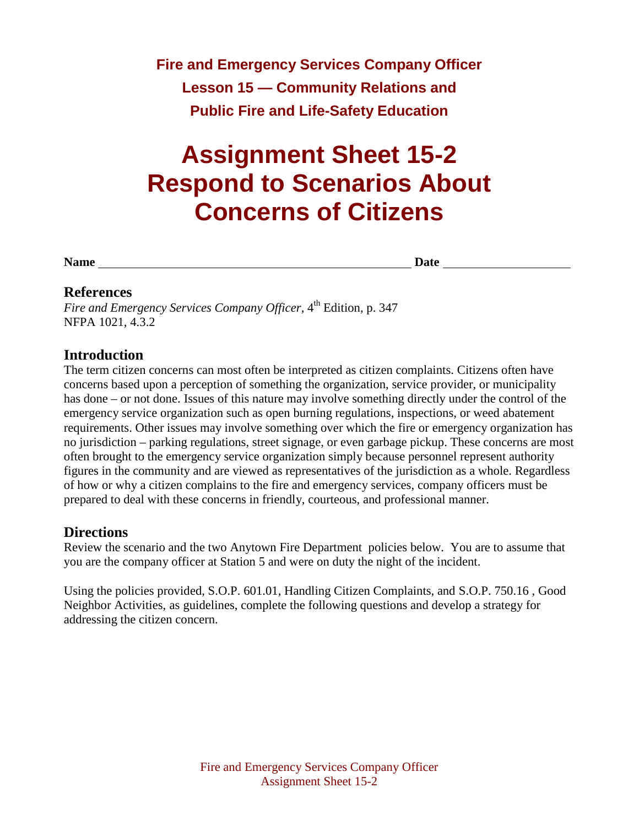**Fire and Emergency Services Company Officer Lesson 15 — Community Relations and Public Fire and Life-Safety Education**

# **Assignment Sheet 15-2 Respond to Scenarios About Concerns of Citizens**

**Name Date Date** 

#### **References**

*Fire and Emergency Services Company Officer,* 4<sup>th</sup> Edition, p. 347 NFPA 1021, 4.3.2

#### **Introduction**

The term citizen concerns can most often be interpreted as citizen complaints. Citizens often have concerns based upon a perception of something the organization, service provider, or municipality has done – or not done. Issues of this nature may involve something directly under the control of the emergency service organization such as open burning regulations, inspections, or weed abatement requirements. Other issues may involve something over which the fire or emergency organization has no jurisdiction – parking regulations, street signage, or even garbage pickup. These concerns are most often brought to the emergency service organization simply because personnel represent authority figures in the community and are viewed as representatives of the jurisdiction as a whole. Regardless of how or why a citizen complains to the fire and emergency services, company officers must be prepared to deal with these concerns in friendly, courteous, and professional manner.

#### **Directions**

Review the scenario and the two Anytown Fire Department policies below. You are to assume that you are the company officer at Station 5 and were on duty the night of the incident.

Using the policies provided, S.O.P. 601.01, Handling Citizen Complaints, and S.O.P. 750.16 , Good Neighbor Activities, as guidelines, complete the following questions and develop a strategy for addressing the citizen concern.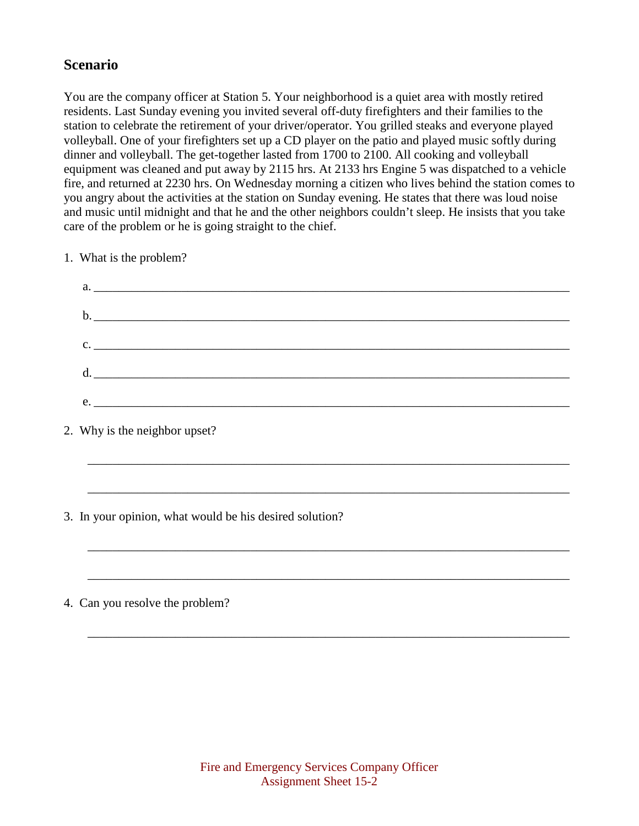## **Scenario**

You are the company officer at Station 5. Your neighborhood is a quiet area with mostly retired residents. Last Sunday evening you invited several off-duty firefighters and their families to the station to celebrate the retirement of your driver/operator. You grilled steaks and everyone played volleyball. One of your firefighters set up a CD player on the patio and played music softly during dinner and volleyball. The get-together lasted from 1700 to 2100. All cooking and volleyball equipment was cleaned and put away by 2115 hrs. At 2133 hrs Engine 5 was dispatched to a vehicle fire, and returned at 2230 hrs. On Wednesday morning a citizen who lives behind the station comes to you angry about the activities at the station on Sunday evening. He states that there was loud noise and music until midnight and that he and the other neighbors couldn't sleep. He insists that you take care of the problem or he is going straight to the chief.

1. What is the problem?

| a.                            |
|-------------------------------|
|                               |
|                               |
|                               |
| $c.$ $\overline{\phantom{a}}$ |
|                               |
|                               |
| e.                            |

\_\_\_\_\_\_\_\_\_\_\_\_\_\_\_\_\_\_\_\_\_\_\_\_\_\_\_\_\_\_\_\_\_\_\_\_\_\_\_\_\_\_\_\_\_\_\_\_\_\_\_\_\_\_\_\_\_\_\_\_\_\_\_\_\_\_\_\_\_\_\_\_\_\_\_\_\_

\_\_\_\_\_\_\_\_\_\_\_\_\_\_\_\_\_\_\_\_\_\_\_\_\_\_\_\_\_\_\_\_\_\_\_\_\_\_\_\_\_\_\_\_\_\_\_\_\_\_\_\_\_\_\_\_\_\_\_\_\_\_\_\_\_\_\_\_\_\_\_\_\_\_\_\_\_

\_\_\_\_\_\_\_\_\_\_\_\_\_\_\_\_\_\_\_\_\_\_\_\_\_\_\_\_\_\_\_\_\_\_\_\_\_\_\_\_\_\_\_\_\_\_\_\_\_\_\_\_\_\_\_\_\_\_\_\_\_\_\_\_\_\_\_\_\_\_\_\_\_\_\_\_\_

\_\_\_\_\_\_\_\_\_\_\_\_\_\_\_\_\_\_\_\_\_\_\_\_\_\_\_\_\_\_\_\_\_\_\_\_\_\_\_\_\_\_\_\_\_\_\_\_\_\_\_\_\_\_\_\_\_\_\_\_\_\_\_\_\_\_\_\_\_\_\_\_\_\_\_\_\_

\_\_\_\_\_\_\_\_\_\_\_\_\_\_\_\_\_\_\_\_\_\_\_\_\_\_\_\_\_\_\_\_\_\_\_\_\_\_\_\_\_\_\_\_\_\_\_\_\_\_\_\_\_\_\_\_\_\_\_\_\_\_\_\_\_\_\_\_\_\_\_\_\_\_\_\_\_

- 2. Why is the neighbor upset?
- 3. In your opinion, what would be his desired solution?
- 4. Can you resolve the problem?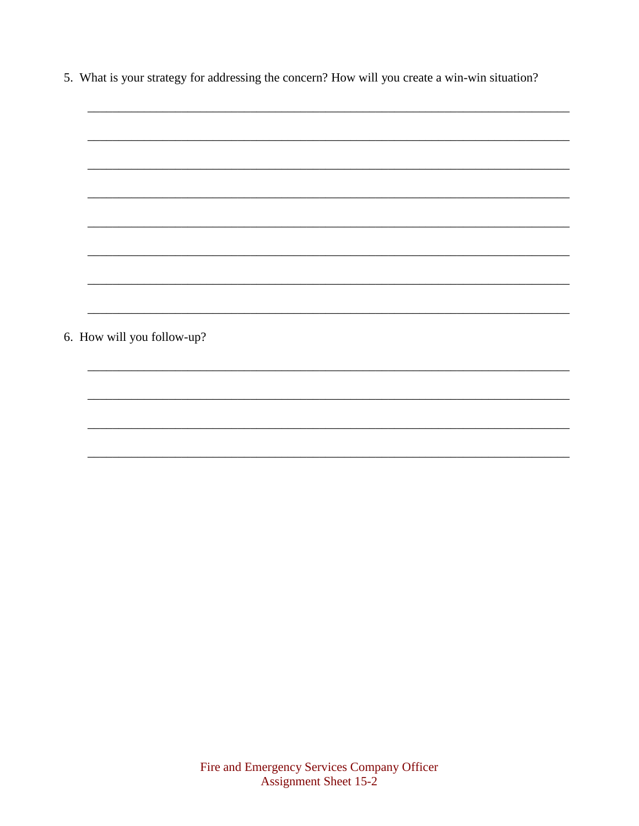5. What is your strategy for addressing the concern? How will you create a win-win situation?

| 6. How will you follow-up? |
|----------------------------|
|                            |
|                            |
|                            |
|                            |
|                            |
|                            |
|                            |
|                            |
|                            |
|                            |
|                            |
|                            |
|                            |
|                            |
|                            |
|                            |
|                            |
|                            |
|                            |
|                            |
|                            |
|                            |
|                            |
|                            |
|                            |
|                            |
|                            |
|                            |
|                            |
|                            |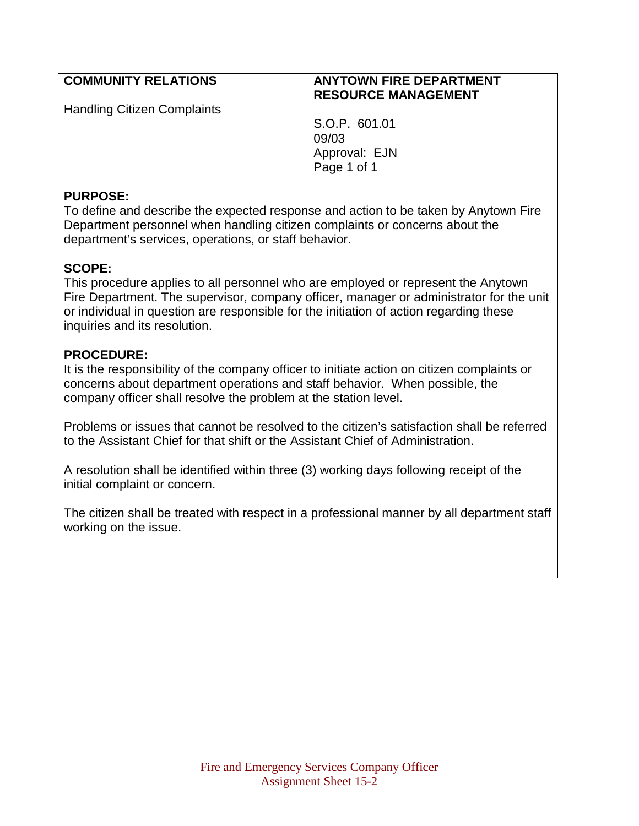| <b>COMMUNITY RELATIONS</b>         | <b>ANYTOWN FIRE DEPARTMENT</b><br><b>RESOURCE MANAGEMENT</b> |
|------------------------------------|--------------------------------------------------------------|
| <b>Handling Citizen Complaints</b> |                                                              |
|                                    | S.O.P. 601.01                                                |
|                                    | 09/03                                                        |
|                                    | Approval: EJN                                                |
|                                    | Page 1 of 1                                                  |

#### **PURPOSE:**

To define and describe the expected response and action to be taken by Anytown Fire Department personnel when handling citizen complaints or concerns about the department's services, operations, or staff behavior.

## **SCOPE:**

This procedure applies to all personnel who are employed or represent the Anytown Fire Department. The supervisor, company officer, manager or administrator for the unit or individual in question are responsible for the initiation of action regarding these inquiries and its resolution.

## **PROCEDURE:**

It is the responsibility of the company officer to initiate action on citizen complaints or concerns about department operations and staff behavior. When possible, the company officer shall resolve the problem at the station level.

Problems or issues that cannot be resolved to the citizen's satisfaction shall be referred to the Assistant Chief for that shift or the Assistant Chief of Administration.

A resolution shall be identified within three (3) working days following receipt of the initial complaint or concern.

The citizen shall be treated with respect in a professional manner by all department staff working on the issue.